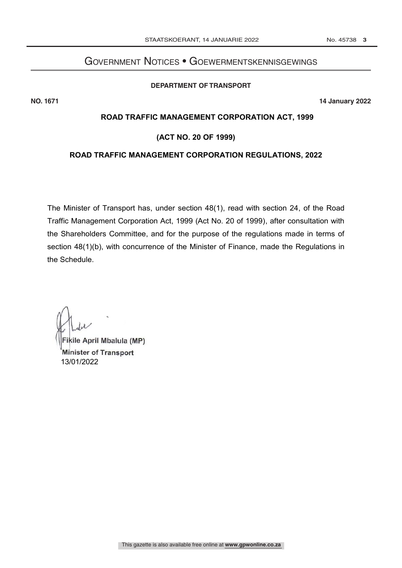## Government Notices • Goewermentskennisgewings **DEPARTMENT OF TRANSPORT**

### **DEPARTMENT OF TRANSPORT**

**NO. 1671 14 January 2022**

# **ROAD TRAFFIC MANAGEMENT CORPORATION ACT, 1999**

# **(ACT NO. 20 OF 1999)**

## **ROAD TRAFFIC MANAGEMENT CORPORATION REGULATIONS, 2022**

The Minister of Transport has, under section 48(1), read with section 24, of the Road Traffic Management Corporation Act, 1999 (Act No. 20 of 1999), after consultation with the Shareholders Committee, and for the purpose of the regulations made in terms of section 48(1)(b), with concurrence of the Minister of Finance, made the Regulations in the Schedule.

Fikile April Mbalula (MP) Minister of Transport 13/01/2022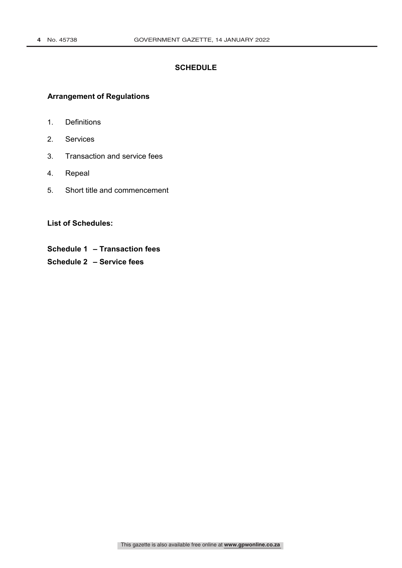# **SCHEDULE**

# **Arrangement of Regulations**

- 1. Definitions
- 2. Services
- 3. Transaction and service fees
- 4. Repeal
- 5. Short title and commencement

**List of Schedules:**

- **Schedule 1 – Transaction fees**
- **Schedule 2 – Service fees**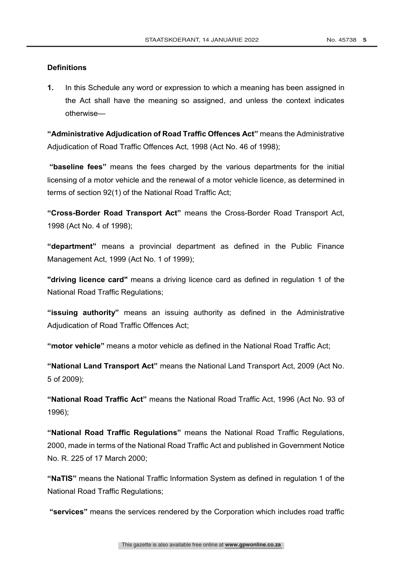### **Definitions**

**1.** In this Schedule any word or expression to which a meaning has been assigned in the Act shall have the meaning so assigned, and unless the context indicates otherwise—

**"Administrative Adjudication of Road Traffic Offences Act"** means the Administrative Adjudication of Road Traffic Offences Act, 1998 (Act No. 46 of 1998);

**"baseline fees"** means the fees charged by the various departments for the initial licensing of a motor vehicle and the renewal of a motor vehicle licence, as determined in terms of section 92(1) of the National Road Traffic Act;

**"Cross-Border Road Transport Act"** means the Cross-Border Road Transport Act, 1998 (Act No. 4 of 1998);

**"department"** means a provincial department as defined in the Public Finance Management Act, 1999 (Act No. 1 of 1999);

**"driving licence card"** means a driving licence card as defined in regulation 1 of the National Road Traffic Regulations;

**"issuing authority"** means an issuing authority as defined in the Administrative Adjudication of Road Traffic Offences Act;

**"motor vehicle"** means a motor vehicle as defined in the National Road Traffic Act;

**"National Land Transport Act"** means the National Land Transport Act, 2009 (Act No. 5 of 2009);

**"National Road Traffic Act"** means the National Road Traffic Act, 1996 (Act No. 93 of 1996);

**"National Road Traffic Regulations"** means the National Road Traffic Regulations, 2000, made in terms of the National Road Traffic Act and published in Government Notice No. R. 225 of 17 March 2000;

**"NaTIS"** means the National Traffic Information System as defined in regulation 1 of the National Road Traffic Regulations;

**"services"** means the services rendered by the Corporation which includes road traffic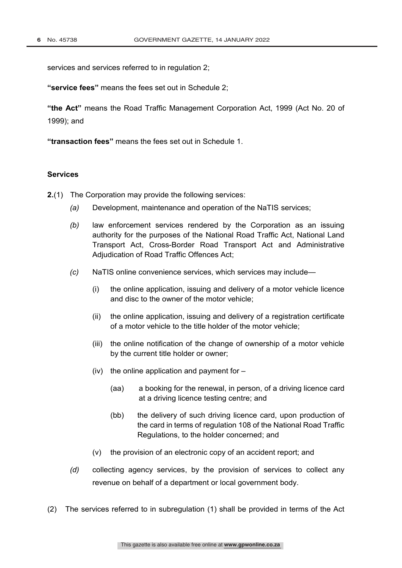services and services referred to in regulation 2;

**"service fees"** means the fees set out in Schedule 2;

**"the Act"** means the Road Traffic Management Corporation Act, 1999 (Act No. 20 of 1999); and

**"transaction fees"** means the fees set out in Schedule 1.

### **Services**

- **2.**(1) The Corporation may provide the following services:
	- *(a)* Development, maintenance and operation of the NaTIS services;
	- *(b)* law enforcement services rendered by the Corporation as an issuing authority for the purposes of the National Road Traffic Act, National Land Transport Act, Cross-Border Road Transport Act and Administrative Adjudication of Road Traffic Offences Act;
	- *(c)* NaTIS online convenience services, which services may include—
		- (i) the online application, issuing and delivery of a motor vehicle licence and disc to the owner of the motor vehicle;
		- (ii) the online application, issuing and delivery of a registration certificate of a motor vehicle to the title holder of the motor vehicle;
		- (iii) the online notification of the change of ownership of a motor vehicle by the current title holder or owner;
		- (iv) the online application and payment for  $-$ 
			- (aa) a booking for the renewal, in person, of a driving licence card at a driving licence testing centre; and
			- (bb) the delivery of such driving licence card, upon production of the card in terms of regulation 108 of the National Road Traffic Regulations, to the holder concerned; and
		- (v) the provision of an electronic copy of an accident report; and
	- *(d)* collecting agency services, by the provision of services to collect any revenue on behalf of a department or local government body.
- (2) The services referred to in subregulation (1) shall be provided in terms of the Act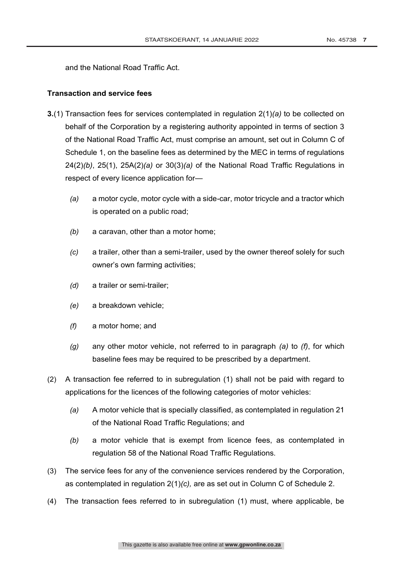and the National Road Traffic Act.

## **Transaction and service fees**

- **3.**(1) Transaction fees for services contemplated in regulation 2(1)*(a)* to be collected on behalf of the Corporation by a registering authority appointed in terms of section 3 of the National Road Traffic Act, must comprise an amount, set out in Column C of Schedule 1, on the baseline fees as determined by the MEC in terms of regulations 24(2)*(b)*, 25(1), 25A(2)*(a)* or 30(3)*(a)* of the National Road Traffic Regulations in respect of every licence application for—
	- *(a)* a motor cycle, motor cycle with a side-car, motor tricycle and a tractor which is operated on a public road;
	- *(b)* a caravan, other than a motor home;
	- *(c)* a trailer, other than a semi-trailer, used by the owner thereof solely for such owner's own farming activities;
	- *(d)* a trailer or semi-trailer;
	- *(e)* a breakdown vehicle;
	- *(f)* a motor home; and
	- *(g)* any other motor vehicle, not referred to in paragraph *(a)* to *(f)*, for which baseline fees may be required to be prescribed by a department.
- (2) A transaction fee referred to in subregulation (1) shall not be paid with regard to applications for the licences of the following categories of motor vehicles:
	- *(a)* A motor vehicle that is specially classified, as contemplated in regulation 21 of the National Road Traffic Regulations; and
	- *(b)* a motor vehicle that is exempt from licence fees, as contemplated in regulation 58 of the National Road Traffic Regulations.
- (3) The service fees for any of the convenience services rendered by the Corporation, as contemplated in regulation 2(1)*(c),* are as set out in Column C of Schedule 2.
- (4) The transaction fees referred to in subregulation (1) must, where applicable, be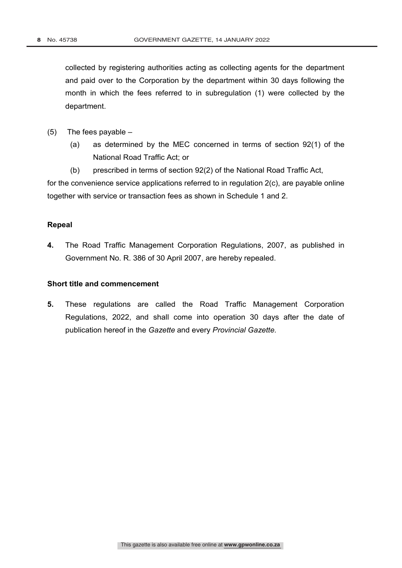collected by registering authorities acting as collecting agents for the department and paid over to the Corporation by the department within 30 days following the month in which the fees referred to in subregulation (1) were collected by the department.

- (5) The fees payable
	- (a) as determined by the MEC concerned in terms of section 92(1) of the National Road Traffic Act; or
	- (b) prescribed in terms of section 92(2) of the National Road Traffic Act,

for the convenience service applications referred to in regulation 2(c), are payable online together with service or transaction fees as shown in Schedule 1 and 2.

# **Repeal**

**4.** The Road Traffic Management Corporation Regulations, 2007, as published in Government No. R. 386 of 30 April 2007, are hereby repealed.

# **Short title and commencement**

**5.** These regulations are called the Road Traffic Management Corporation Regulations, 2022, and shall come into operation 30 days after the date of publication hereof in the *Gazette* and every *Provincial Gazette.*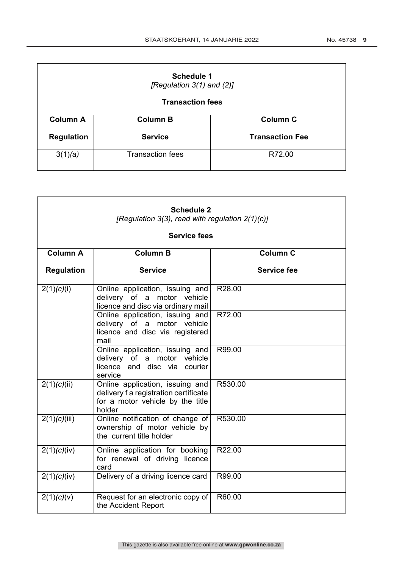| <b>Schedule 1</b><br>[Regulation 3(1) and (2)] |                         |                        |  |  |
|------------------------------------------------|-------------------------|------------------------|--|--|
| <b>Transaction fees</b>                        |                         |                        |  |  |
| <b>Column A</b>                                | <b>Column B</b>         | <b>Column C</b>        |  |  |
| <b>Regulation</b>                              | <b>Service</b>          | <b>Transaction Fee</b> |  |  |
| 3(1)(a)                                        | <b>Transaction fees</b> | R72.00                 |  |  |

 $\overline{a}$ 

| <b>Schedule 2</b><br>[Regulation 3(3), read with regulation 2(1)(c)] |                                                                                                                        |                 |  |  |
|----------------------------------------------------------------------|------------------------------------------------------------------------------------------------------------------------|-----------------|--|--|
| <b>Service fees</b>                                                  |                                                                                                                        |                 |  |  |
| <b>Column A</b>                                                      | <b>Column B</b>                                                                                                        | <b>Column C</b> |  |  |
| <b>Regulation</b>                                                    | <b>Service</b>                                                                                                         | Service fee     |  |  |
| 2(1)(c)(i)                                                           | Online application, issuing and<br>delivery of a motor vehicle<br>licence and disc via ordinary mail                   | R28.00          |  |  |
|                                                                      | Online application, issuing and<br>delivery of a motor vehicle<br>licence and disc via registered<br>mail              | R72.00          |  |  |
|                                                                      | Online application, issuing and<br>delivery of a motor vehicle<br>licence and disc via courier<br>service              | R99.00          |  |  |
| 2(1)(c)(ii)                                                          | Online application, issuing and<br>delivery f a registration certificate<br>for a motor vehicle by the title<br>holder | R530.00         |  |  |
| 2(1)(c)(iii)                                                         | Online notification of change of<br>ownership of motor vehicle by<br>the current title holder                          | R530.00         |  |  |
| 2(1)(c)(iv)                                                          | Online application for booking<br>for renewal of driving licence<br>card                                               | R22.00          |  |  |
| 2(1)(c)(iv)                                                          | Delivery of a driving licence card                                                                                     | R99.00          |  |  |
| 2(1)(c)(v)                                                           | Request for an electronic copy of<br>the Accident Report                                                               | R60.00          |  |  |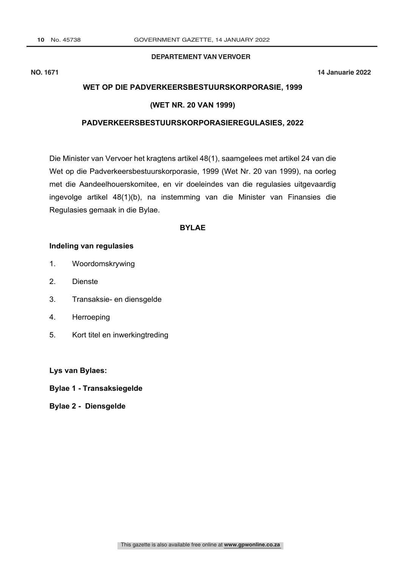### **DEPARTEMENT VAN VERVOER**

**NO. 1671 14 Januarie 2022**

## **WET OP DIE PADVERKEERSBESTUURSKORPORASIE, 1999**

# **(WET NR. 20 VAN 1999)**

### **PADVERKEERSBESTUURSKORPORASIEREGULASIES, 2022**

Die Minister van Vervoer het kragtens artikel 48(1), saamgelees met artikel 24 van die Wet op die Padverkeersbestuurskorporasie, 1999 (Wet Nr. 20 van 1999), na oorleg met die Aandeelhouerskomitee, en vir doeleindes van die regulasies uitgevaardig ingevolge artikel 48(1)(b), na instemming van die Minister van Finansies die Regulasies gemaak in die Bylae.

# **BYLAE**

#### **Indeling van regulasies**

- 1. Woordomskrywing
- 2. Dienste
- 3. Transaksie- en diensgelde
- 4. Herroeping
- 5. Kort titel en inwerkingtreding

**Lys van Bylaes:**

- **Bylae 1 - Transaksiegelde**
- **Bylae 2 - Diensgelde**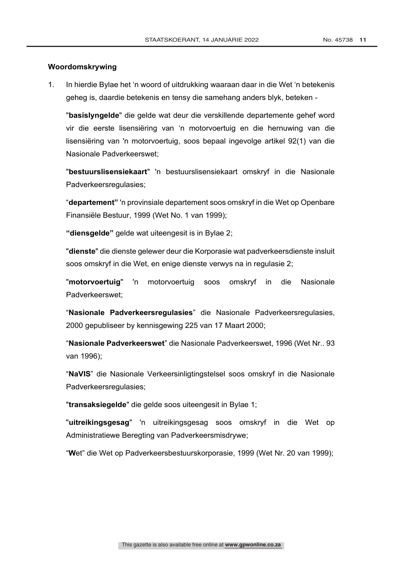#### **Woordomskrywing**

1. In hierdie Bylae het 'n woord of uitdrukking waaraan daar in die Wet 'n betekenis geheg is, daardie betekenis en tensy die samehang anders blyk, beteken -

"**basislyngelde**" die gelde wat deur die verskillende departemente gehef word vir die eerste lisensiëring van 'n motorvoertuig en die hernuwing van die lisensiëring van 'n motorvoertuig, soos bepaal ingevolge artikel 92(1) van die Nasionale Padverkeerswet;

"**bestuurslisensiekaart**" 'n bestuurslisensiekaart omskryf in die Nasionale Padverkeersregulasies;

"**departement"** 'n provinsiale departement soos omskryf in die Wet op Openbare Finansiële Bestuur, 1999 (Wet No. 1 van 1999);

**"diensgelde"** gelde wat uiteengesit is in Bylae 2;

"**dienste**" die dienste gelewer deur die Korporasie wat padverkeersdienste insluit soos omskryf in die Wet, en enige dienste verwys na in regulasie 2;

"**motorvoertuig**" 'n motorvoertuig soos omskryf in die Nasionale Padverkeerswet;

"**Nasionale Padverkeersregulasies**" die Nasionale Padverkeersregulasies, 2000 gepubliseer by kennisgewing 225 van 17 Maart 2000;

"**Nasionale Padverkeerswet**" die Nasionale Padverkeerswet, 1996 (Wet Nr.. 93 van 1996);

"**NaVIS**" die Nasionale Verkeersinligtingstelsel soos omskryf in die Nasionale Padverkeersregulasies;

"**transaksiegelde**" die gelde soos uiteengesit in Bylae 1;

"**uitreikingsgesag**" 'n uitreikingsgesag soos omskryf in die Wet op Administratiewe Beregting van Padverkeersmisdrywe;

"**W**et" die Wet op Padverkeersbestuurskorporasie, 1999 (Wet Nr. 20 van 1999);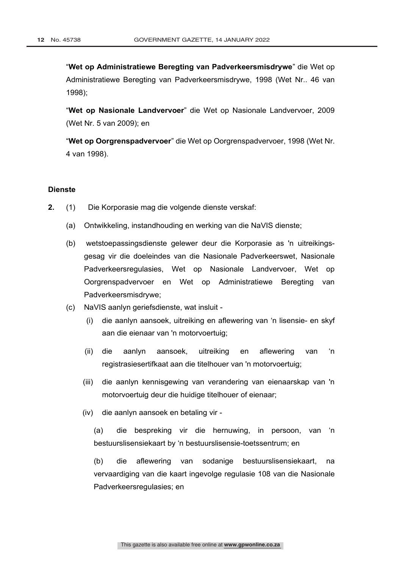"**Wet op Administratiewe Beregting van Padverkeersmisdrywe**" die Wet op Administratiewe Beregting van Padverkeersmisdrywe, 1998 (Wet Nr.. 46 van 1998);

"**Wet op Nasionale Landvervoer**" die Wet op Nasionale Landvervoer, 2009 (Wet Nr. 5 van 2009); en

"**Wet op Oorgrenspadvervoer**" die Wet op Oorgrenspadvervoer, 1998 (Wet Nr. 4 van 1998).

### **Dienste**

- **2.** (1) Die Korporasie mag die volgende dienste verskaf:
	- (a) Ontwikkeling, instandhouding en werking van die NaVIS dienste;
	- (b) wetstoepassingsdienste gelewer deur die Korporasie as 'n uitreikingsgesag vir die doeleindes van die Nasionale Padverkeerswet, Nasionale Padverkeersregulasies, Wet op Nasionale Landvervoer, Wet op Oorgrenspadvervoer en Wet op Administratiewe Beregting van Padverkeersmisdrywe;
	- (c) NaVIS aanlyn geriefsdienste, wat insluit
		- (i) die aanlyn aansoek, uitreiking en aflewering van 'n lisensie- en skyf aan die eienaar van 'n motorvoertuig;
		- (ii) die aanlyn aansoek, uitreiking en aflewering van 'n registrasiesertifkaat aan die titelhouer van 'n motorvoertuig;
		- (iii) die aanlyn kennisgewing van verandering van eienaarskap van 'n motorvoertuig deur die huidige titelhouer of eienaar;
		- (iv) die aanlyn aansoek en betaling vir -

(a) die bespreking vir die hernuwing, in persoon, van 'n bestuurslisensiekaart by 'n bestuurslisensie-toetssentrum; en

(b) die aflewering van sodanige bestuurslisensiekaart, na vervaardiging van die kaart ingevolge regulasie 108 van die Nasionale Padverkeersregulasies; en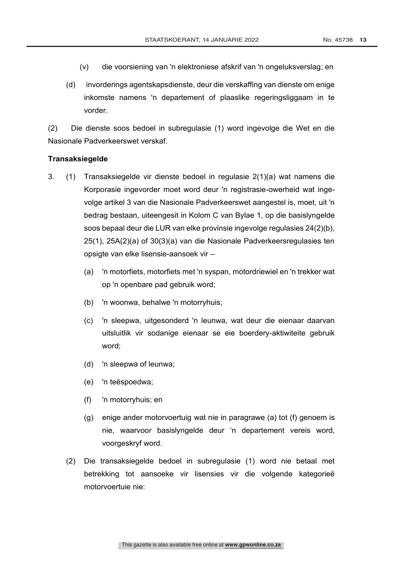- (v) die voorsiening van 'n elektroniese afskrif van 'n ongeluksverslag; en
- (d) invorderings agentskapsdienste, deur die verskaffing van dienste om enige inkomste namens 'n departement of plaaslike regeringsliggaam in te vorder.

(2) Die dienste soos bedoel in subregulasie (1) word ingevolge die Wet en die Nasionale Padverkeerswet verskaf.

#### **Transaksiegelde**

- 3. (1) Transaksiegelde vir dienste bedoel in regulasie 2(1)(a) wat namens die Korporasie ingevorder moet word deur 'n registrasie-owerheid wat ingevolge artikel 3 van die Nasionale Padverkeerswet aangestel is, moet, uit 'n bedrag bestaan, uiteengesit in Kolom C van Bylae 1, op die basislyngelde soos bepaal deur die LUR van elke provinsie ingevolge regulasies 24(2)(b), 25(1), 25A(2)(a) of 30(3)(a) van die Nasionale Padverkeersregulasies ten opsigte van elke lisensie-aansoek vir –
	- (a) 'n motorfiets, motorfiets met 'n syspan, motordriewiel en 'n trekker wat op 'n openbare pad gebruik word;
	- (b) 'n woonwa, behalwe 'n motorryhuis;
	- (c) 'n sleepwa, uitgesonderd 'n leunwa, wat deur die eienaar daarvan uitsluitlik vir sodanige eienaar se eie boerdery-aktiwiteite gebruik word;
	- (d) 'n sleepwa of leunwa;
	- (e) 'n teëspoedwa;
	- (f) 'n motorryhuis; en
	- (g) enige ander motorvoertuig wat nie in paragrawe (a) tot (f) genoem is nie, waarvoor basislyngelde deur 'n departement vereis word, voorgeskryf word.
	- (2) Die transaksiegelde bedoel in subregulasie (1) word nie betaal met betrekking tot aansoeke vir lisensies vir die volgende kategorieë motorvoertuie nie: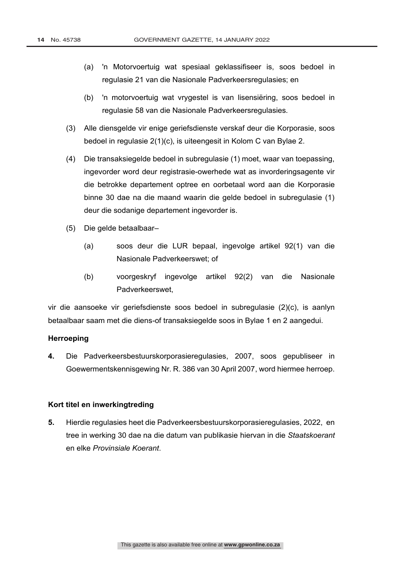- (a) 'n Motorvoertuig wat spesiaal geklassifiseer is, soos bedoel in regulasie 21 van die Nasionale Padverkeersregulasies; en
- (b) 'n motorvoertuig wat vrygestel is van lisensiëring, soos bedoel in regulasie 58 van die Nasionale Padverkeersregulasies.
- (3) Alle diensgelde vir enige geriefsdienste verskaf deur die Korporasie, soos bedoel in regulasie 2(1)(c), is uiteengesit in Kolom C van Bylae 2.
- (4) Die transaksiegelde bedoel in subregulasie (1) moet, waar van toepassing, ingevorder word deur registrasie-owerhede wat as invorderingsagente vir die betrokke departement optree en oorbetaal word aan die Korporasie binne 30 dae na die maand waarin die gelde bedoel in subregulasie (1) deur die sodanige departement ingevorder is.
- (5) Die gelde betaalbaar–
	- (a) soos deur die LUR bepaal, ingevolge artikel 92(1) van die Nasionale Padverkeerswet; of
	- (b) voorgeskryf ingevolge artikel 92(2) van die Nasionale Padverkeerswet,

vir die aansoeke vir geriefsdienste soos bedoel in subregulasie (2)(c), is aanlyn betaalbaar saam met die diens-of transaksiegelde soos in Bylae 1 en 2 aangedui.

#### **Herroeping**

**4.** Die Padverkeersbestuurskorporasieregulasies, 2007, soos gepubliseer in Goewermentskennisgewing Nr. R. 386 van 30 April 2007, word hiermee herroep.

## **Kort titel en inwerkingtreding**

**5.** Hierdie regulasies heet die Padverkeersbestuurskorporasieregulasies, 2022, en tree in werking 30 dae na die datum van publikasie hiervan in die *Staatskoerant* en elke *Provinsiale Koerant*.